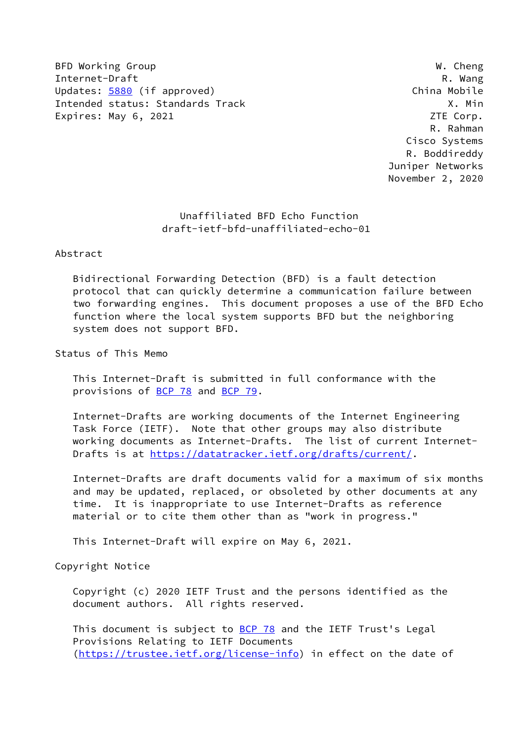BFD Working Group W. Cheng W. Cheng W. Cheng W. Cheng W. Cheng W. Cheng W. Cheng W. Cheng W. Cheng W. Cheng W. Internet-Draft R. Wang Updates: [5880](https://datatracker.ietf.org/doc/pdf/rfc5880) (if approved) China Mobile Intended status: Standards Track X. Min Expires: May 6, 2021 **ZTE** Corp.

 R. Rahman Cisco Systems R. Boddireddy Juniper Networks November 2, 2020

# Unaffiliated BFD Echo Function draft-ietf-bfd-unaffiliated-echo-01

## Abstract

 Bidirectional Forwarding Detection (BFD) is a fault detection protocol that can quickly determine a communication failure between two forwarding engines. This document proposes a use of the BFD Echo function where the local system supports BFD but the neighboring system does not support BFD.

Status of This Memo

 This Internet-Draft is submitted in full conformance with the provisions of [BCP 78](https://datatracker.ietf.org/doc/pdf/bcp78) and [BCP 79](https://datatracker.ietf.org/doc/pdf/bcp79).

 Internet-Drafts are working documents of the Internet Engineering Task Force (IETF). Note that other groups may also distribute working documents as Internet-Drafts. The list of current Internet- Drafts is at<https://datatracker.ietf.org/drafts/current/>.

 Internet-Drafts are draft documents valid for a maximum of six months and may be updated, replaced, or obsoleted by other documents at any time. It is inappropriate to use Internet-Drafts as reference material or to cite them other than as "work in progress."

This Internet-Draft will expire on May 6, 2021.

Copyright Notice

 Copyright (c) 2020 IETF Trust and the persons identified as the document authors. All rights reserved.

This document is subject to **[BCP 78](https://datatracker.ietf.org/doc/pdf/bcp78)** and the IETF Trust's Legal Provisions Relating to IETF Documents [\(https://trustee.ietf.org/license-info](https://trustee.ietf.org/license-info)) in effect on the date of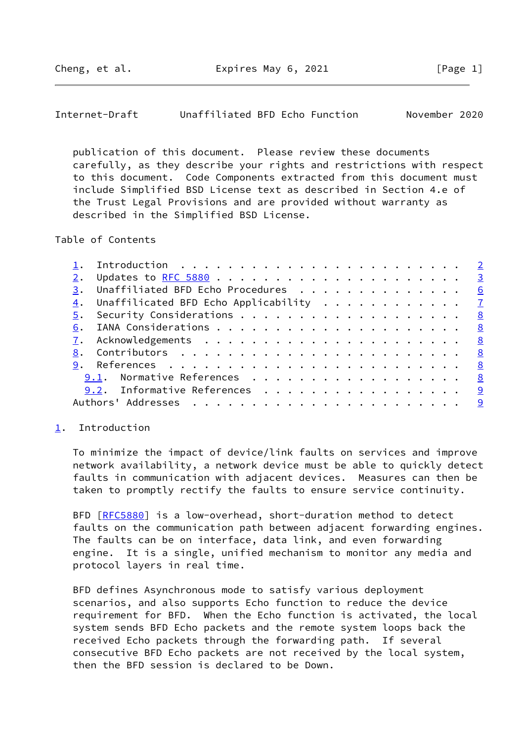<span id="page-1-1"></span>Internet-Draft Unaffiliated BFD Echo Function November 2020

 publication of this document. Please review these documents carefully, as they describe your rights and restrictions with respect to this document. Code Components extracted from this document must include Simplified BSD License text as described in Section 4.e of the Trust Legal Provisions and are provided without warranty as described in the Simplified BSD License.

Table of Contents

|  | 3. Unaffiliated BFD Echo Procedures 6                    |  |  |  |  |  |
|--|----------------------------------------------------------|--|--|--|--|--|
|  | $\underline{4}$ . Unaffilicated BFD Echo Applicability 7 |  |  |  |  |  |
|  | 5. Security Considerations 8                             |  |  |  |  |  |
|  |                                                          |  |  |  |  |  |
|  |                                                          |  |  |  |  |  |
|  |                                                          |  |  |  |  |  |
|  |                                                          |  |  |  |  |  |
|  | 9.1. Normative References 8                              |  |  |  |  |  |
|  | 9.2. Informative References 9                            |  |  |  |  |  |
|  |                                                          |  |  |  |  |  |

#### <span id="page-1-0"></span>[1](#page-1-0). Introduction

 To minimize the impact of device/link faults on services and improve network availability, a network device must be able to quickly detect faults in communication with adjacent devices. Measures can then be taken to promptly rectify the faults to ensure service continuity.

BFD [\[RFC5880](https://datatracker.ietf.org/doc/pdf/rfc5880)] is a low-overhead, short-duration method to detect faults on the communication path between adjacent forwarding engines. The faults can be on interface, data link, and even forwarding engine. It is a single, unified mechanism to monitor any media and protocol layers in real time.

 BFD defines Asynchronous mode to satisfy various deployment scenarios, and also supports Echo function to reduce the device requirement for BFD. When the Echo function is activated, the local system sends BFD Echo packets and the remote system loops back the received Echo packets through the forwarding path. If several consecutive BFD Echo packets are not received by the local system, then the BFD session is declared to be Down.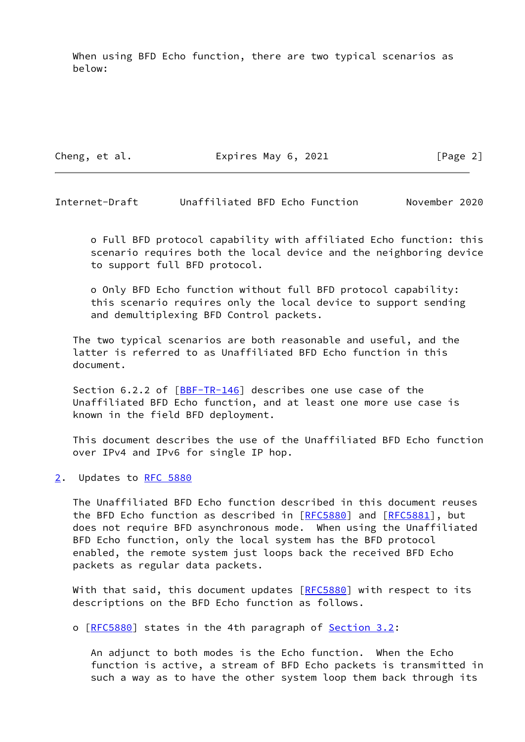When using BFD Echo function, there are two typical scenarios as below:

Cheng, et al. **Expires May 6, 2021** [Page 2]

<span id="page-2-1"></span>Internet-Draft Unaffiliated BFD Echo Function November 2020

 o Full BFD protocol capability with affiliated Echo function: this scenario requires both the local device and the neighboring device to support full BFD protocol.

 o Only BFD Echo function without full BFD protocol capability: this scenario requires only the local device to support sending and demultiplexing BFD Control packets.

 The two typical scenarios are both reasonable and useful, and the latter is referred to as Unaffiliated BFD Echo function in this document.

Section 6.2.2 of  $[BBF-TR-146]$  describes one use case of the Unaffiliated BFD Echo function, and at least one more use case is known in the field BFD deployment.

 This document describes the use of the Unaffiliated BFD Echo function over IPv4 and IPv6 for single IP hop.

<span id="page-2-0"></span>[2](#page-2-0). Updates to [RFC 5880](https://datatracker.ietf.org/doc/pdf/rfc5880)

 The Unaffiliated BFD Echo function described in this document reuses the BFD Echo function as described in [[RFC5880](https://datatracker.ietf.org/doc/pdf/rfc5880)] and [\[RFC5881](https://datatracker.ietf.org/doc/pdf/rfc5881)], but does not require BFD asynchronous mode. When using the Unaffiliated BFD Echo function, only the local system has the BFD protocol enabled, the remote system just loops back the received BFD Echo packets as regular data packets.

With that said, this document updates [[RFC5880](https://datatracker.ietf.org/doc/pdf/rfc5880)] with respect to its descriptions on the BFD Echo function as follows.

o [[RFC5880](https://datatracker.ietf.org/doc/pdf/rfc5880)] states in the 4th paragraph of Section 3.2:

 An adjunct to both modes is the Echo function. When the Echo function is active, a stream of BFD Echo packets is transmitted in such a way as to have the other system loop them back through its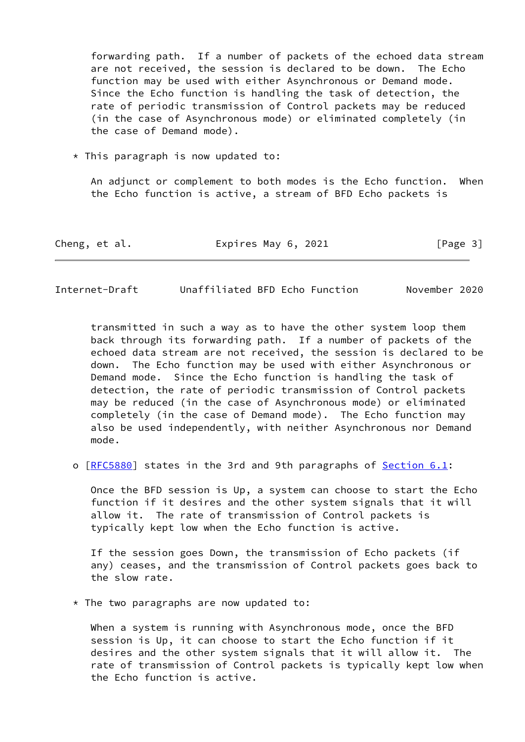forwarding path. If a number of packets of the echoed data stream are not received, the session is declared to be down. The Echo function may be used with either Asynchronous or Demand mode. Since the Echo function is handling the task of detection, the rate of periodic transmission of Control packets may be reduced (in the case of Asynchronous mode) or eliminated completely (in the case of Demand mode).

\* This paragraph is now updated to:

 An adjunct or complement to both modes is the Echo function. When the Echo function is active, a stream of BFD Echo packets is

| Cheng, et al. | Expires May 6, 2021 | [Page 3] |
|---------------|---------------------|----------|
|---------------|---------------------|----------|

Internet-Draft Unaffiliated BFD Echo Function November 2020

 transmitted in such a way as to have the other system loop them back through its forwarding path. If a number of packets of the echoed data stream are not received, the session is declared to be down. The Echo function may be used with either Asynchronous or Demand mode. Since the Echo function is handling the task of detection, the rate of periodic transmission of Control packets may be reduced (in the case of Asynchronous mode) or eliminated completely (in the case of Demand mode). The Echo function may also be used independently, with neither Asynchronous nor Demand mode.

o [[RFC5880](https://datatracker.ietf.org/doc/pdf/rfc5880)] states in the 3rd and 9th paragraphs of Section 6.1:

 Once the BFD session is Up, a system can choose to start the Echo function if it desires and the other system signals that it will allow it. The rate of transmission of Control packets is typically kept low when the Echo function is active.

 If the session goes Down, the transmission of Echo packets (if any) ceases, and the transmission of Control packets goes back to the slow rate.

 $*$  The two paragraphs are now updated to:

 When a system is running with Asynchronous mode, once the BFD session is Up, it can choose to start the Echo function if it desires and the other system signals that it will allow it. The rate of transmission of Control packets is typically kept low when the Echo function is active.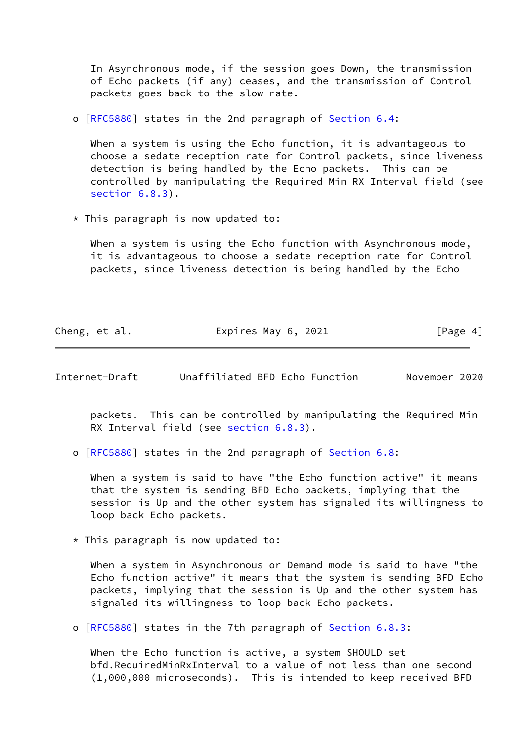In Asynchronous mode, if the session goes Down, the transmission of Echo packets (if any) ceases, and the transmission of Control packets goes back to the slow rate.

o [[RFC5880](https://datatracker.ietf.org/doc/pdf/rfc5880)] states in the 2nd paragraph of Section 6.4:

When a system is using the Echo function, it is advantageous to choose a sedate reception rate for Control packets, since liveness detection is being handled by the Echo packets. This can be controlled by manipulating the Required Min RX Interval field (see section 6.8.3).

\* This paragraph is now updated to:

When a system is using the Echo function with Asynchronous mode, it is advantageous to choose a sedate reception rate for Control packets, since liveness detection is being handled by the Echo

| Cheng, et al. | Expires May 6, 2021 | [Page 4] |
|---------------|---------------------|----------|
|---------------|---------------------|----------|

Internet-Draft Unaffiliated BFD Echo Function November 2020

 packets. This can be controlled by manipulating the Required Min RX Interval field (see section 6.8.3).

o [[RFC5880](https://datatracker.ietf.org/doc/pdf/rfc5880)] states in the 2nd paragraph of Section 6.8:

 When a system is said to have "the Echo function active" it means that the system is sending BFD Echo packets, implying that the session is Up and the other system has signaled its willingness to loop back Echo packets.

\* This paragraph is now updated to:

 When a system in Asynchronous or Demand mode is said to have "the Echo function active" it means that the system is sending BFD Echo packets, implying that the session is Up and the other system has signaled its willingness to loop back Echo packets.

o [[RFC5880](https://datatracker.ietf.org/doc/pdf/rfc5880)] states in the 7th paragraph of Section 6.8.3:

 When the Echo function is active, a system SHOULD set bfd.RequiredMinRxInterval to a value of not less than one second (1,000,000 microseconds). This is intended to keep received BFD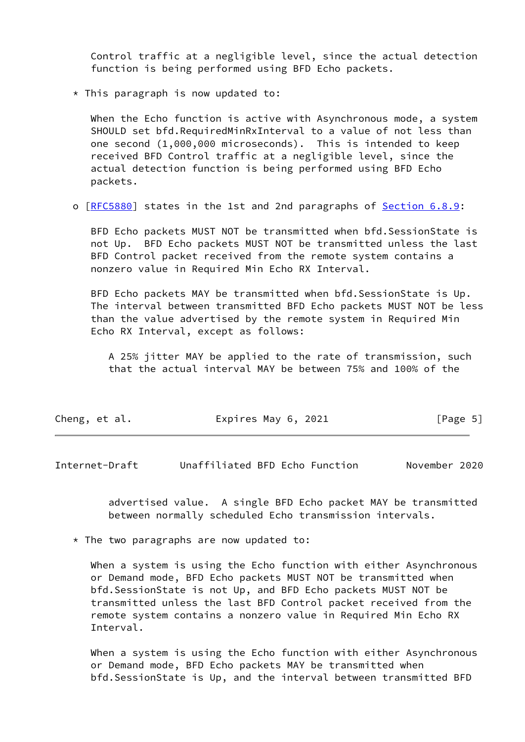Control traffic at a negligible level, since the actual detection function is being performed using BFD Echo packets.

\* This paragraph is now updated to:

When the Echo function is active with Asynchronous mode, a system SHOULD set bfd.RequiredMinRxInterval to a value of not less than one second (1,000,000 microseconds). This is intended to keep received BFD Control traffic at a negligible level, since the actual detection function is being performed using BFD Echo packets.

o [[RFC5880](https://datatracker.ietf.org/doc/pdf/rfc5880)] states in the 1st and 2nd paragraphs of Section 6.8.9:

 BFD Echo packets MUST NOT be transmitted when bfd.SessionState is not Up. BFD Echo packets MUST NOT be transmitted unless the last BFD Control packet received from the remote system contains a nonzero value in Required Min Echo RX Interval.

 BFD Echo packets MAY be transmitted when bfd.SessionState is Up. The interval between transmitted BFD Echo packets MUST NOT be less than the value advertised by the remote system in Required Min Echo RX Interval, except as follows:

 A 25% jitter MAY be applied to the rate of transmission, such that the actual interval MAY be between 75% and 100% of the

| Cheng, et al. | Expires May 6, 2021 | [Page 5] |
|---------------|---------------------|----------|
|---------------|---------------------|----------|

<span id="page-5-0"></span>Internet-Draft Unaffiliated BFD Echo Function November 2020

 advertised value. A single BFD Echo packet MAY be transmitted between normally scheduled Echo transmission intervals.

\* The two paragraphs are now updated to:

 When a system is using the Echo function with either Asynchronous or Demand mode, BFD Echo packets MUST NOT be transmitted when bfd.SessionState is not Up, and BFD Echo packets MUST NOT be transmitted unless the last BFD Control packet received from the remote system contains a nonzero value in Required Min Echo RX Interval.

 When a system is using the Echo function with either Asynchronous or Demand mode, BFD Echo packets MAY be transmitted when bfd.SessionState is Up, and the interval between transmitted BFD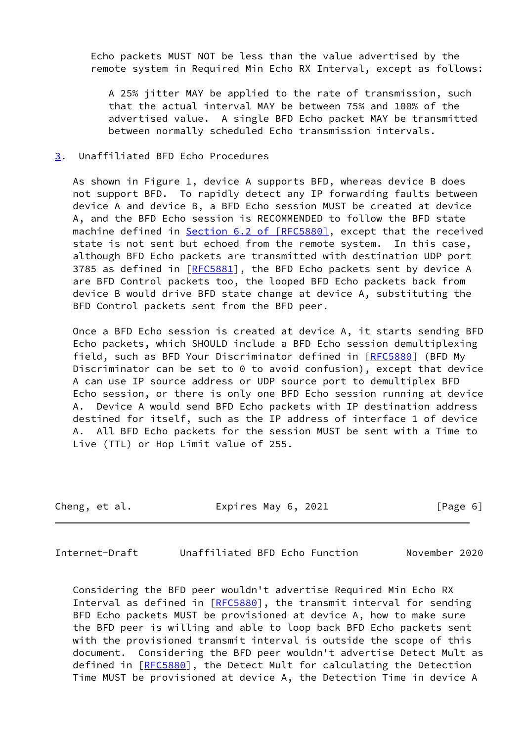Echo packets MUST NOT be less than the value advertised by the remote system in Required Min Echo RX Interval, except as follows:

 A 25% jitter MAY be applied to the rate of transmission, such that the actual interval MAY be between 75% and 100% of the advertised value. A single BFD Echo packet MAY be transmitted between normally scheduled Echo transmission intervals.

### <span id="page-6-0"></span>[3](#page-6-0). Unaffiliated BFD Echo Procedures

 As shown in Figure 1, device A supports BFD, whereas device B does not support BFD. To rapidly detect any IP forwarding faults between device A and device B, a BFD Echo session MUST be created at device A, and the BFD Echo session is RECOMMENDED to follow the BFD state machine defined in Section [6.2 of \[RFC5880\],](https://datatracker.ietf.org/doc/pdf/rfc5880#section-6.2) except that the received state is not sent but echoed from the remote system. In this case, although BFD Echo packets are transmitted with destination UDP port 3785 as defined in [[RFC5881\]](https://datatracker.ietf.org/doc/pdf/rfc5881), the BFD Echo packets sent by device A are BFD Control packets too, the looped BFD Echo packets back from device B would drive BFD state change at device A, substituting the BFD Control packets sent from the BFD peer.

 Once a BFD Echo session is created at device A, it starts sending BFD Echo packets, which SHOULD include a BFD Echo session demultiplexing field, such as BFD Your Discriminator defined in [\[RFC5880](https://datatracker.ietf.org/doc/pdf/rfc5880)] (BFD My Discriminator can be set to 0 to avoid confusion), except that device A can use IP source address or UDP source port to demultiplex BFD Echo session, or there is only one BFD Echo session running at device A. Device A would send BFD Echo packets with IP destination address destined for itself, such as the IP address of interface 1 of device A. All BFD Echo packets for the session MUST be sent with a Time to Live (TTL) or Hop Limit value of 255.

| Cheng, et al. | Expires May 6, 2021 | [Page 6] |
|---------------|---------------------|----------|
|               |                     |          |

<span id="page-6-1"></span>Internet-Draft Unaffiliated BFD Echo Function November 2020

 Considering the BFD peer wouldn't advertise Required Min Echo RX Interval as defined in [\[RFC5880](https://datatracker.ietf.org/doc/pdf/rfc5880)], the transmit interval for sending BFD Echo packets MUST be provisioned at device A, how to make sure the BFD peer is willing and able to loop back BFD Echo packets sent with the provisioned transmit interval is outside the scope of this document. Considering the BFD peer wouldn't advertise Detect Mult as defined in [[RFC5880\]](https://datatracker.ietf.org/doc/pdf/rfc5880), the Detect Mult for calculating the Detection Time MUST be provisioned at device A, the Detection Time in device A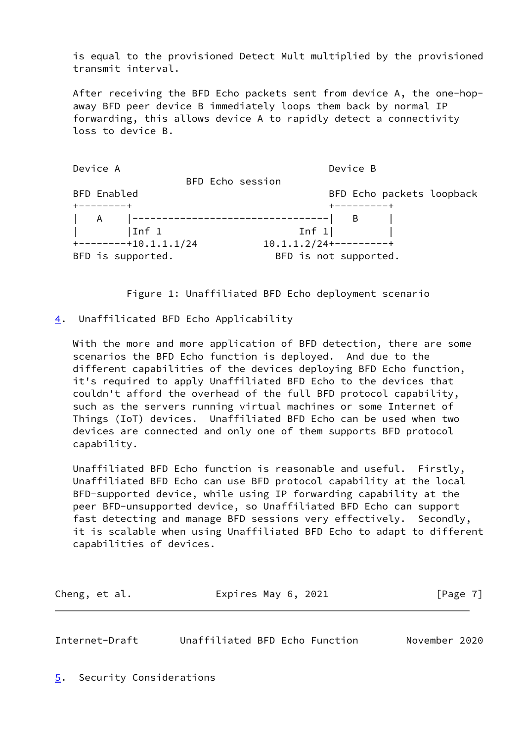is equal to the provisioned Detect Mult multiplied by the provisioned transmit interval.

 After receiving the BFD Echo packets sent from device A, the one-hop away BFD peer device B immediately loops them back by normal IP forwarding, this allows device A to rapidly detect a connectivity loss to device B.

| Device A             | Device B                  |
|----------------------|---------------------------|
|                      | BFD Echo session          |
| BFD Enabled          | BFD Echo packets loopback |
| $+ - - - - - - - +$  | +---------+               |
| A                    | B                         |
| $ Inf_1$             | Inf $1$                   |
| $+-----+10.1.1.1/24$ | $10.1.1.2/24+------+$     |
| BFD is supported.    | BFD is not supported.     |

Figure 1: Unaffiliated BFD Echo deployment scenario

<span id="page-7-0"></span>[4](#page-7-0). Unaffilicated BFD Echo Applicability

 With the more and more application of BFD detection, there are some scenarios the BFD Echo function is deployed. And due to the different capabilities of the devices deploying BFD Echo function, it's required to apply Unaffiliated BFD Echo to the devices that couldn't afford the overhead of the full BFD protocol capability, such as the servers running virtual machines or some Internet of Things (IoT) devices. Unaffiliated BFD Echo can be used when two devices are connected and only one of them supports BFD protocol capability.

 Unaffiliated BFD Echo function is reasonable and useful. Firstly, Unaffiliated BFD Echo can use BFD protocol capability at the local BFD-supported device, while using IP forwarding capability at the peer BFD-unsupported device, so Unaffiliated BFD Echo can support fast detecting and manage BFD sessions very effectively. Secondly, it is scalable when using Unaffiliated BFD Echo to adapt to different capabilities of devices.

| Cheng, et al. | Expires May 6, 2021 | [Page 7] |
|---------------|---------------------|----------|
|---------------|---------------------|----------|

<span id="page-7-2"></span>Internet-Draft Unaffiliated BFD Echo Function November 2020

<span id="page-7-1"></span>[5](#page-7-1). Security Considerations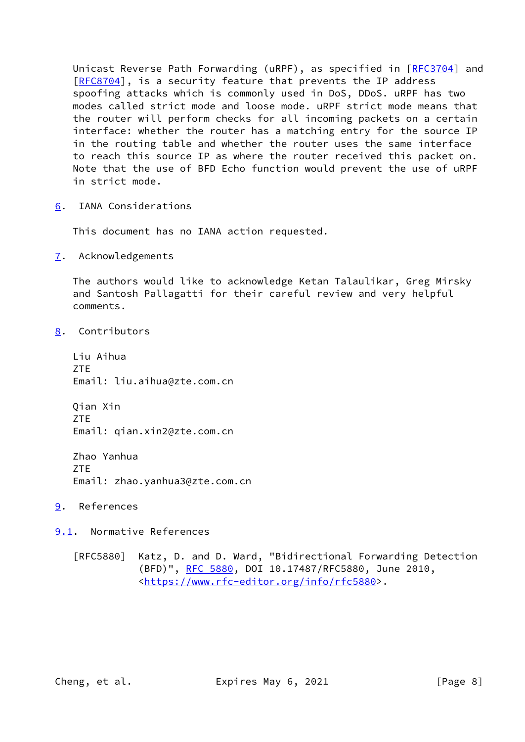Unicast Reverse Path Forwarding (uRPF), as specified in [\[RFC3704](https://datatracker.ietf.org/doc/pdf/rfc3704)] and [\[RFC8704](https://datatracker.ietf.org/doc/pdf/rfc8704)], is a security feature that prevents the IP address spoofing attacks which is commonly used in DoS, DDoS. uRPF has two modes called strict mode and loose mode. uRPF strict mode means that the router will perform checks for all incoming packets on a certain interface: whether the router has a matching entry for the source IP in the routing table and whether the router uses the same interface to reach this source IP as where the router received this packet on. Note that the use of BFD Echo function would prevent the use of uRPF in strict mode.

<span id="page-8-0"></span>[6](#page-8-0). IANA Considerations

This document has no IANA action requested.

<span id="page-8-1"></span>[7](#page-8-1). Acknowledgements

 The authors would like to acknowledge Ketan Talaulikar, Greg Mirsky and Santosh Pallagatti for their careful review and very helpful comments.

<span id="page-8-2"></span>[8](#page-8-2). Contributors

 Liu Aihua ZTE Email: liu.aihua@zte.com.cn

 Qian Xin ZTE Email: qian.xin2@zte.com.cn

 Zhao Yanhua ZTE Email: zhao.yanhua3@zte.com.cn

<span id="page-8-3"></span>[9](#page-8-3). References

<span id="page-8-4"></span>[9.1](#page-8-4). Normative References

 [RFC5880] Katz, D. and D. Ward, "Bidirectional Forwarding Detection (BFD)", [RFC 5880,](https://datatracker.ietf.org/doc/pdf/rfc5880) DOI 10.17487/RFC5880, June 2010, <[https://www.rfc-editor.org/info/rfc5880>](https://www.rfc-editor.org/info/rfc5880).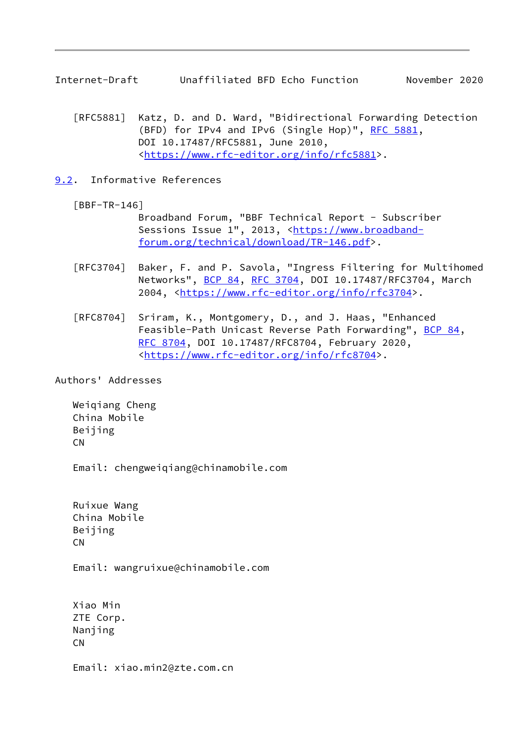<span id="page-9-1"></span>Internet-Draft Unaffiliated BFD Echo Function November 2020

 [RFC5881] Katz, D. and D. Ward, "Bidirectional Forwarding Detection (BFD) for IPv4 and IPv6 (Single Hop)", [RFC 5881](https://datatracker.ietf.org/doc/pdf/rfc5881), DOI 10.17487/RFC5881, June 2010, <[https://www.rfc-editor.org/info/rfc5881>](https://www.rfc-editor.org/info/rfc5881).

<span id="page-9-0"></span>[9.2](#page-9-0). Informative References

<span id="page-9-2"></span>[BBF-TR-146]

 Broadband Forum, "BBF Technical Report - Subscriber Sessions Issue 1", 2013, [<https://www.broadband](https://www.broadband-forum.org/technical/download/TR-146.pdf) [forum.org/technical/download/TR-146.pdf](https://www.broadband-forum.org/technical/download/TR-146.pdf)>.

- [RFC3704] Baker, F. and P. Savola, "Ingress Filtering for Multihomed Networks", [BCP 84](https://datatracker.ietf.org/doc/pdf/bcp84), [RFC 3704](https://datatracker.ietf.org/doc/pdf/rfc3704), DOI 10.17487/RFC3704, March 2004, [<https://www.rfc-editor.org/info/rfc3704](https://www.rfc-editor.org/info/rfc3704)>.
- [RFC8704] Sriram, K., Montgomery, D., and J. Haas, "Enhanced Feasible-Path Unicast Reverse Path Forwarding", [BCP 84](https://datatracker.ietf.org/doc/pdf/bcp84), [RFC 8704,](https://datatracker.ietf.org/doc/pdf/rfc8704) DOI 10.17487/RFC8704, February 2020, <[https://www.rfc-editor.org/info/rfc8704>](https://www.rfc-editor.org/info/rfc8704).

Authors' Addresses

 Weiqiang Cheng China Mobile Beijing CN

Email: chengweiqiang@chinamobile.com

 Ruixue Wang China Mobile Beijing CN

Email: wangruixue@chinamobile.com

 Xiao Min ZTE Corp. Nanjing CN

Email: xiao.min2@zte.com.cn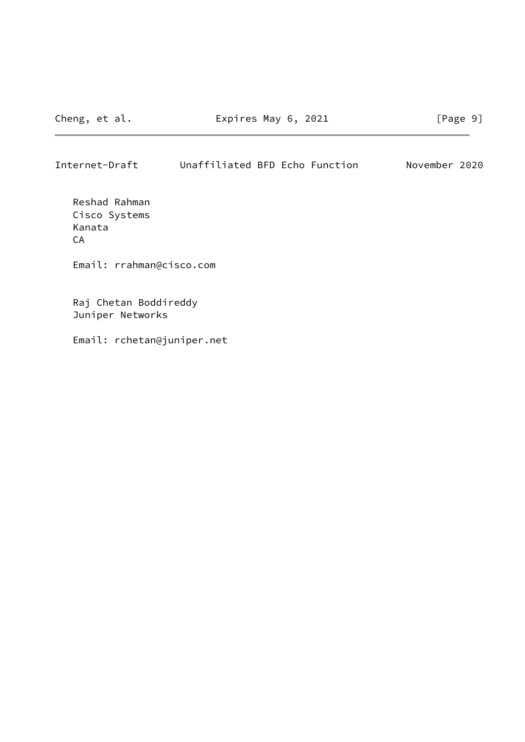## Internet-Draft Unaffiliated BFD Echo Function November 2020

 Reshad Rahman Cisco Systems Kanata CA

Email: rrahman@cisco.com

 Raj Chetan Boddireddy Juniper Networks

Email: rchetan@juniper.net